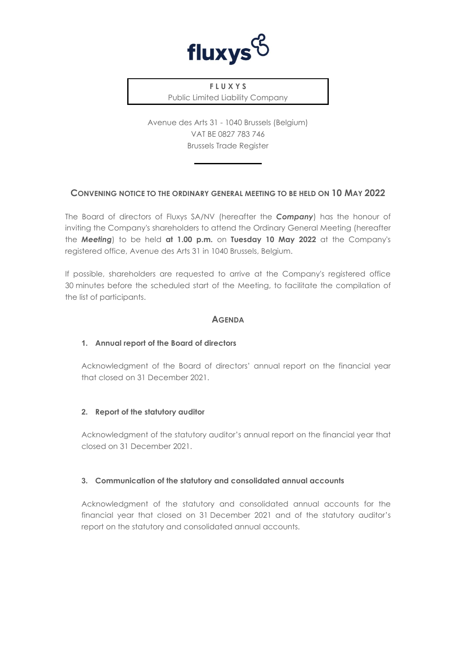

**F L U X Y S** Public Limited Liability Company

Avenue des Arts 31 - 1040 Brussels (Belgium) VAT BE 0827 783 746 Brussels Trade Register

# **CONVENING NOTICE TO THE ORDINARY GENERAL MEETING TO BE HELD ON 10 MAY 2022**

The Board of directors of Fluxys SA/NV (hereafter the *Company*) has the honour of inviting the Company's shareholders to attend the Ordinary General Meeting (hereafter the *Meeting*) to be held **at 1.00 p.m.** on **Tuesday 10 May 2022** at the Company's registered office, Avenue des Arts 31 in 1040 Brussels, Belgium.

If possible, shareholders are requested to arrive at the Company's registered office 30 minutes before the scheduled start of the Meeting, to facilitate the compilation of the list of participants.

# **AGENDA**

### **1. Annual report of the Board of directors**

Acknowledgment of the Board of directors' annual report on the financial year that closed on 31 December 2021.

### **2. Report of the statutory auditor**

Acknowledgment of the statutory auditor's annual report on the financial year that closed on 31 December 2021.

### **3. Communication of the statutory and consolidated annual accounts**

Acknowledgment of the statutory and consolidated annual accounts for the financial year that closed on 31 December 2021 and of the statutory auditor's report on the statutory and consolidated annual accounts.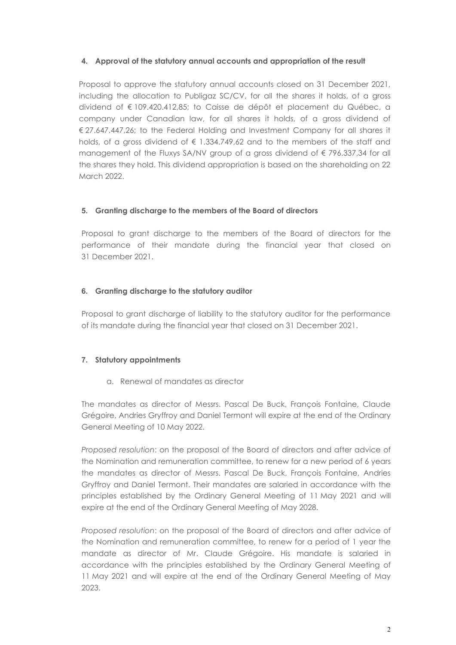### **4. Approval of the statutory annual accounts and appropriation of the result**

Proposal to approve the statutory annual accounts closed on 31 December 2021, including the allocation to Publigaz SC/CV, for all the shares it holds, of a gross dividend of € 109.420.412,85; to Caisse de dépôt et placement du Québec, a company under Canadian law, for all shares it holds, of a gross dividend of € 27.647.447,26; to the Federal Holding and Investment Company for all shares it holds, of a gross dividend of  $\epsilon$  1.334.749,62 and to the members of the staff and management of the Fluxys SA/NV group of a gross dividend of € 796.337,34 for all the shares they hold. This dividend appropriation is based on the shareholding on 22 March 2022.

# **5. Granting discharge to the members of the Board of directors**

Proposal to grant discharge to the members of the Board of directors for the performance of their mandate during the financial year that closed on 31 December 2021.

# **6. Granting discharge to the statutory auditor**

Proposal to grant discharge of liability to the statutory auditor for the performance of its mandate during the financial year that closed on 31 December 2021.

### **7. Statutory appointments**

a. Renewal of mandates as director

The mandates as director of Messrs. Pascal De Buck, François Fontaine, Claude Grégoire, Andries Gryffroy and Daniel Termont will expire at the end of the Ordinary General Meeting of 10 May 2022.

*Proposed resolution*: on the proposal of the Board of directors and after advice of the Nomination and remuneration committee, to renew for a new period of 6 years the mandates as director of Messrs. Pascal De Buck, François Fontaine, Andries Gryffroy and Daniel Termont. Their mandates are salaried in accordance with the principles established by the Ordinary General Meeting of 11 May 2021 and will expire at the end of the Ordinary General Meeting of May 2028.

*Proposed resolution*: on the proposal of the Board of directors and after advice of the Nomination and remuneration committee, to renew for a period of 1 year the mandate as director of Mr. Claude Grégoire. His mandate is salaried in accordance with the principles established by the Ordinary General Meeting of 11 May 2021 and will expire at the end of the Ordinary General Meeting of May 2023.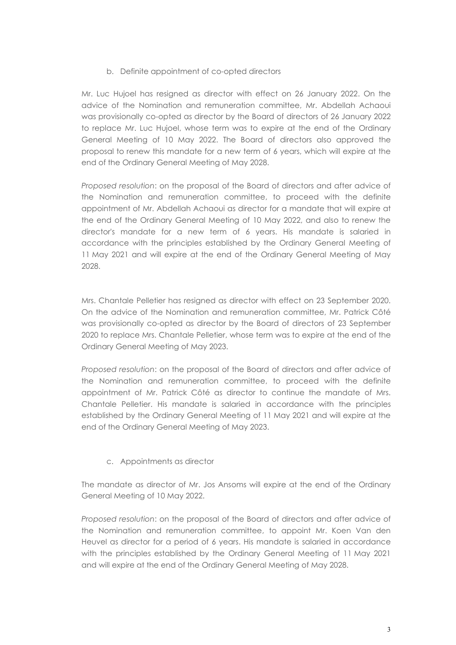# b. Definite appointment of co-opted directors

Mr. Luc Hujoel has resigned as director with effect on 26 January 2022. On the advice of the Nomination and remuneration committee, Mr. Abdellah Achaoui was provisionally co-opted as director by the Board of directors of 26 January 2022 to replace Mr. Luc Hujoel, whose term was to expire at the end of the Ordinary General Meeting of 10 May 2022. The Board of directors also approved the proposal to renew this mandate for a new term of 6 years, which will expire at the end of the Ordinary General Meeting of May 2028.

*Proposed resolution*: on the proposal of the Board of directors and after advice of the Nomination and remuneration committee, to proceed with the definite appointment of Mr. Abdellah Achaoui as director for a mandate that will expire at the end of the Ordinary General Meeting of 10 May 2022, and also to renew the director's mandate for a new term of 6 years. His mandate is salaried in accordance with the principles established by the Ordinary General Meeting of 11 May 2021 and will expire at the end of the Ordinary General Meeting of May 2028.

Mrs. Chantale Pelletier has resigned as director with effect on 23 September 2020. On the advice of the Nomination and remuneration committee, Mr. Patrick Côté was provisionally co-opted as director by the Board of directors of 23 September 2020 to replace Mrs. Chantale Pelletier, whose term was to expire at the end of the Ordinary General Meeting of May 2023.

*Proposed resolution*: on the proposal of the Board of directors and after advice of the Nomination and remuneration committee, to proceed with the definite appointment of Mr. Patrick Côté as director to continue the mandate of Mrs. Chantale Pelletier. His mandate is salaried in accordance with the principles established by the Ordinary General Meeting of 11 May 2021 and will expire at the end of the Ordinary General Meeting of May 2023.

# c. Appointments as director

The mandate as director of Mr. Jos Ansoms will expire at the end of the Ordinary General Meeting of 10 May 2022.

*Proposed resolution*: on the proposal of the Board of directors and after advice of the Nomination and remuneration committee, to appoint Mr. Koen Van den Heuvel as director for a period of 6 years. His mandate is salaried in accordance with the principles established by the Ordinary General Meeting of 11 May 2021 and will expire at the end of the Ordinary General Meeting of May 2028.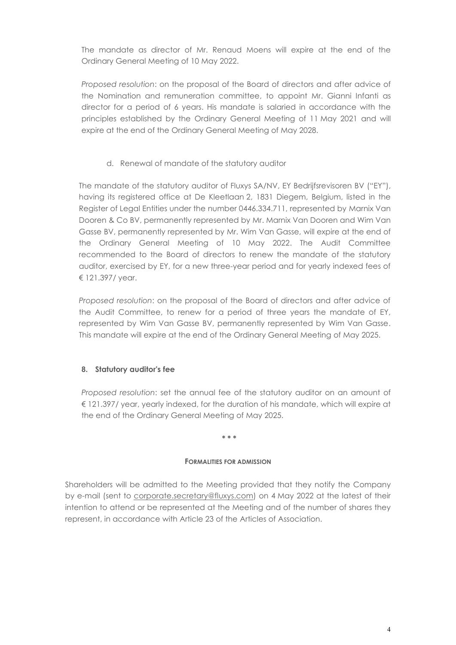The mandate as director of Mr. Renaud Moens will expire at the end of the Ordinary General Meeting of 10 May 2022.

*Proposed resolution*: on the proposal of the Board of directors and after advice of the Nomination and remuneration committee, to appoint Mr. Gianni Infanti as director for a period of 6 years. His mandate is salaried in accordance with the principles established by the Ordinary General Meeting of 11 May 2021 and will expire at the end of the Ordinary General Meeting of May 2028.

d. Renewal of mandate of the statutory auditor

The mandate of the statutory auditor of Fluxys SA/NV, EY Bedrijfsrevisoren BV ("EY"), having its registered office at De Kleetlaan 2, 1831 Diegem, Belgium, listed in the Register of Legal Entities under the number 0446.334.711, represented by Marnix Van Dooren & Co BV, permanently represented by Mr. Marnix Van Dooren and Wim Van Gasse BV, permanently represented by Mr. Wim Van Gasse, will expire at the end of the Ordinary General Meeting of 10 May 2022. The Audit Committee recommended to the Board of directors to renew the mandate of the statutory auditor, exercised by EY, for a new three-year period and for yearly indexed fees of € 121.397/ year.

*Proposed resolution*: on the proposal of the Board of directors and after advice of the Audit Committee, to renew for a period of three years the mandate of EY, represented by Wim Van Gasse BV, permanently represented by Wim Van Gasse. This mandate will expire at the end of the Ordinary General Meeting of May 2025.

# **8. Statutory auditor's fee**

*Proposed resolution*: set the annual fee of the statutory auditor on an amount of € 121.397/ year, yearly indexed, for the duration of his mandate, which will expire at the end of the Ordinary General Meeting of May 2025.

#### **\* \* \***

### **FORMALITIES FOR ADMISSION**

Shareholders will be admitted to the Meeting provided that they notify the Company by e-mail (sent to [corporate.secretary@fluxys.com\)](mailto:corporate.secretary@fluxys.com) on 4 May 2022 at the latest of their intention to attend or be represented at the Meeting and of the number of shares they represent, in accordance with Article 23 of the Articles of Association.